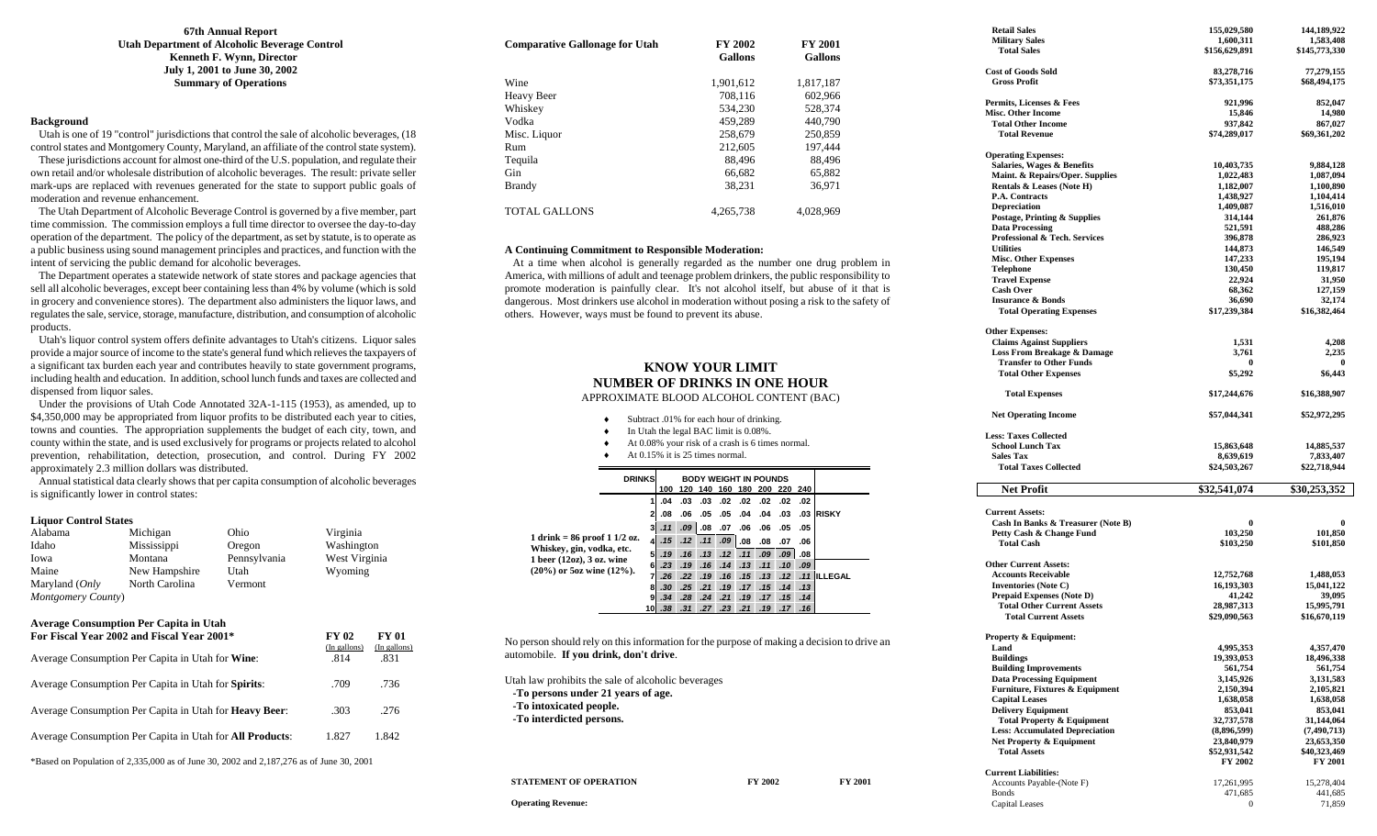### **67th Annual Report Utah Department of Alcoholic Beverage Control Kenneth F. Wynn, Director July 1, 2001 to June 30, 2002 Summary of Operations**

### **Background**

 Utah is one of 19 "control" jurisdictions that control the sale of alcoholic beverages, (18 control states and Montgomery County, Maryland, an affiliate of the control state system).

 These jurisdictions account for almost one-third of the U.S. population, and regulate their own retail and/or wholesale distribution of alcoholic beverages. The result: private seller mark-ups are replaced with revenues generated for the state to support public goals of moderation and revenue enhancement.

 The Utah Department of Alcoholic Beverage Control is governed by a five member, part time commission. The commission employs a full time director to oversee the day-to-day operation of the department. The policy of the department, as set by statute, is to operate as a public business using sound management principles and practices, and function with the intent of servicing the public demand for alcoholic beverages.

 The Department operates a statewide network of state stores and package agencies that sell all alcoholic beverages, except beer containing less than 4% by volume (which is sold in grocery and convenience stores). The department also administers the liquor laws, and regulates the sale, service, storage, manufacture, distribution, and consumption of alcoholic products.

 Utah's liquor control system offers definite advantages to Utah's citizens. Liquor sales provide a major source of income to the state's general fund which relieves the taxpayers of a significant tax burden each year and contributes heavily to state government programs, including health and education. In addition, school lunch funds and taxes are collected and dispensed from liquor sales.

 Under the provisions of Utah Code Annotated 32A-1-115 (1953), as amended, up to \$4,350,000 may be appropriated from liquor profits to be distributed each year to cities, towns and counties. The appropriation supplements the budget of each city, town, and county within the state, and is used exclusively for programs or projects related to alcohol prevention, rehabilitation, detection, prosecution, and control. During FY 2002 approximately 2.3 million dollars was distributed.

 Annual statistical data clearly shows that per capita consumption of alcoholic beverages is significantly lower in control states:

### **Liquor Control States**

| Alabama            | Michigan       | Ohio         | Virginia      |
|--------------------|----------------|--------------|---------------|
| Idaho              | Mississippi    | Oregon       | Washington    |
| Iowa               | Montana        | Pennsylvania | West Virginia |
| Maine              | New Hampshire  | Utah         | Wyoming       |
| Maryland (Only     | North Carolina | Vermont      |               |
| Montgomery County) |                |              |               |

### **Average Consumption Per Capita in Utah**

| For Fiscal Year 2002 and Fiscal Year 2001*                                              | FY 02<br>(In gallons) | FY 01<br>(In gallons) |  |
|-----------------------------------------------------------------------------------------|-----------------------|-----------------------|--|
| Average Consumption Per Capita in Utah for Wine:                                        | .814                  | .831                  |  |
| Average Consumption Per Capita in Utah for Spirits:                                     | .709                  | .736                  |  |
| Average Consumption Per Capita in Utah for <b>Heavy Beer</b> :                          | .303                  | .276                  |  |
| Average Consumption Per Capita in Utah for <b>All Products</b> :                        | 1.827                 | 1.842                 |  |
| *Based on Population of 2.335,000 as of June 30, 2002 and 2.187,276 as of June 30, 2001 |                       |                       |  |

| <b>Comparative Gallonage for Utah</b> | FY 2002<br><b>Gallons</b> | <b>FY 2001</b><br><b>Gallons</b> |
|---------------------------------------|---------------------------|----------------------------------|
| Wine                                  | 1.901.612                 | 1.817.187                        |
| Heavy Beer                            | 708.116                   | 602.966                          |
| Whiskey                               | 534.230                   | 528.374                          |
| Vodka                                 | 459.289                   | 440,790                          |
| Misc. Liquor                          | 258,679                   | 250,859                          |
| Rum                                   | 212,605                   | 197.444                          |
| Tequila                               | 88.496                    | 88.496                           |
| Gin                                   | 66,682                    | 65,882                           |
| <b>Brandy</b>                         | 38.231                    | 36.971                           |
| <b>TOTAL GALLONS</b>                  | 4.265.738                 | 4.028.969                        |

### **A Continuing Commitment to Responsible Moderation:**

 At a time when alcohol is generally regarded as the number one drug problem in America, with millions of adult and teenage problem drinkers, the public responsibility to promote moderation is painfully clear. It's not alcohol itself, but abuse of it that is dangerous. Most drinkers use alcohol in moderation without posing a risk to the safety of others. However, ways must be found to prevent its abuse.

### **KNOW YOUR LIMIT NUMBER OF DRINKS IN ONE HOUR** APPROXIMATE BLOOD ALCOHOL CONTENT (BAC)

| Subtract .01% for each hour of drinking. |
|------------------------------------------|

- ♦In Utah the legal BAC limit is 0.08%.
- ♦At 0.08% your risk of a crash is 6 times normal.
- ♦At 0.15% it is 25 times normal.

|                                                                                                                                               | <b>DRINKS</b> |    | 100 |     |     |     | <b>BODY WEIGHT IN POUNDS</b><br>120 140 160 180 200 220 240 |     |                  |        |                   |
|-----------------------------------------------------------------------------------------------------------------------------------------------|---------------|----|-----|-----|-----|-----|-------------------------------------------------------------|-----|------------------|--------|-------------------|
|                                                                                                                                               |               |    | .04 | .03 | .03 | .02 | .02                                                         | .02 | .02              | .02    |                   |
| 1 drink = $86 \text{ proof} 11/2 \text{ oz.}$<br>Whiskey, gin, vodka, etc.<br>1 beer $(12oz)$ , 3 oz. wine<br>$(20\%)$ or 5oz wine $(12\%)$ . |               | 2  | .08 | .06 | .05 | .05 | .04                                                         | .04 | .03              |        | .03 <b>IRISKY</b> |
|                                                                                                                                               |               | 3  | .11 | .09 | .08 | .07 | .06                                                         | .06 | .05              | .05    |                   |
|                                                                                                                                               |               | 4  | .15 | .12 | .11 | .09 | .08                                                         | .08 | .07              | .06    |                   |
|                                                                                                                                               |               | 5  | .19 | .16 | .13 | .12 | .11                                                         | .09 | .09 <sub>1</sub> | .08    |                   |
|                                                                                                                                               |               | 6  | .23 | .19 | .16 | .14 | .13                                                         | .11 | .10              | .09    |                   |
|                                                                                                                                               |               | 7  | .26 | .22 | .19 | .16 | .15                                                         | .13 |                  |        | .12 .11 ILLEGAL   |
|                                                                                                                                               |               | 8  | .30 | .25 | .21 | .19 | .17                                                         | .15 | .14              | .13    |                   |
|                                                                                                                                               |               | 9  | .34 | .28 | .24 | .21 | .19                                                         | .17 | .15              | .14    |                   |
|                                                                                                                                               |               | 10 | .38 | .31 | .27 | .23 | .21                                                         | .19 |                  | .17.16 |                   |

No person should rely on this information for the purpose of making a decision to drive an automobile. **If you drink, don't drive**.

Utah law prohibits the sale of alcoholic beverages **-To persons under 21 years of age. -To intoxicated people. -To interdicted persons.** 

**STATEMENT OF OPERATION FY 2002** FY 2001

 **Retail Sales 155,029,580 144,189,922 1,600,311** 1,583,408 **1,600,311** 1,583,408 **1,600,311** 1,583,408 **1,600,311** 1,583,408  $$156,629,891$ Cost of Goods Sold **83,278,716** 77,279,155<br>
Gross Profit **873,351.175** 868,494.175  $$73,351,175$ **Permits, Licenses & Fees 921,996 852,047**  Misc. Other Income 15,846 14,980<br>Total Other Income 15,846 937,842 867,027 **Total Other Income 937,842**<br> **1937,842 Broad Revenue** 937,842 **Total Revenue**  $\qquad \qquad$  **\$74,289,017**  $\qquad \qquad$  \$69,361,202 **Operating Expenses: Salaries, Wages & Benefits 10,403,735** 9,884,128 **Maint. & Repairs/Oper. Supplies** 1,022,483 1,087,094 **Maint. & Repairs/Oper. Supplies Rentals & Leases (Note H)** 1,182,007 1,100,890<br> **P.A.** Contracts 1.438.927 1.104.414 **P.A. Contracts** 1,438,927 1,104,414<br> **Depreciation** 1.409.087 1.516.010 **Depreciation Postage, Printing & Supplies 314,144 261,876 Data Processing 521,591 488,286 Professional & Tech. Services** 396,878 286,923<br>
Utilities 144,873 146,549  **Utilities 144,873 146,549 Misc. Other Expenses** 147,233 195,194 **130,450 119,817**<br> **130,450 119,817**<br> **130,450 22.924 31.950 119,817 Travel Expense** 22,924 31,950<br> **Cash Over** 22,924 31,950<br> **Cash Over** 22,7159 **Cash Over 68,362** 127,159 **16,690 32,174**<br>Total Operating Expenses 36,690 32,174<br>\$16,382,464 \$16,382,464 \$16,382,464 **Total Operating Expenses Other Expenses: Claims Against Suppliers** 1,531 4,208<br> **1,531** 4,208 **Loss From Breakage & Damage** 3,761 2,235 **Loss From Breakage & Damage Transfer to Other Funds Total Other Expenses**  $$5,292$  $$6,443$  **Total Expenses \$17,244,676 \$16,388,907 Net Operating Income \$57,044,341 \$52,972,295 Less: Taxes Collected School Lunch Tax 15,863,648 14,885,537 Sales Tax** 8,639,619 7,833,407  **Total Taxes Collected \$24,503,267 \$22,718,944 Net Profit**  $\text{\$32.541.074} \qquad \text{\$30.253.352}$ **Current Assets: Cash In Banks & Treasurer (Note B) 0 0 Petty Cash & Change Fund 103,250 101,850**<br>Total Cash **101,850 101,850 101,850 Total Cash \$103,250** \$101,850 **Other Current Assets: Accounts Receivable 12,752,768 1,488,053 Inventories (Note C) 16,193,303 15,041,122 Prepaid Expenses (Note D)** 41,242 39,095<br>Total Other Current Assets 28,987,313 15,995,791  **Total Other Current Assets 28,987,313 15,995,791 Total Current Assets Property & Equipment: Land** 4,995,353 4,357,470  **Buildings 19,393,053 18,496,338 Building Improvements** 561,754 561,754 561,754 561,754 561,754 561,754 561,754 561,754 561,754 561,754 561,754 561,754 561,754 561,754 571,583 571,583 571,583 571,583 571,583 571,583 571,583 571,583 571,583 571,583 571,58 **Data Processing Equipment 3,145,926** 3,131,583<br> **Furniture. Fixtures & Equipment** 2.150,394 2.105.821 **Furniture, Fixtures & Equipment** 2,150,394<br>Capital Leases 1,638,058 **Capital Leases** 1,638,058 1,638,058 1,638,058 1,638,058 1,638,058 1,638,058 1,638,058 1,638,058 1,638,058 1,638,058 1,638,058 1,638,058 1,638,058 1,638,058 1,638,058 1,638,058 1,638,058 1,638,058 1,638,058 1,638,058 1,638  **Delivery Equipment 853,041**<br> **1953,041**<br> **1953,041**<br> **1953,041**<br> **1953,041** Total Property & Equipment 32,737,578 31,144,064<br>
Less: Accumulated Depreciation (8,896,599) (7,490,713) Less: Accumulated Depreciation **Net Property & Equipment 23,840,979 23,653,350 Total Assets \$52,931,542 \$40,323,469** 

Accounts Payable-(Note F) 17,261,995 15,278,404 Bonds 471,685 441,685 Capital Leases 0 71,859

**FY 2002 FY 2001** 

**Operating Revenue:** 

**Current Liabilities:**